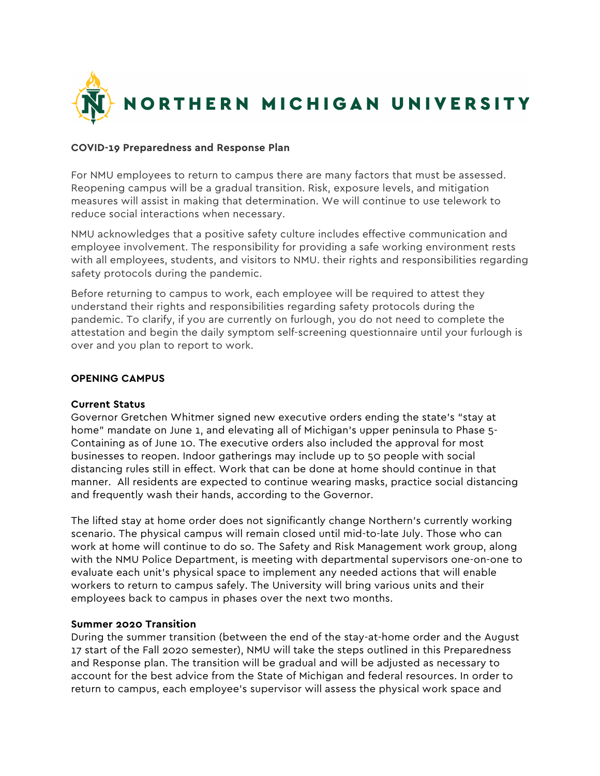

## **COVID-19 Preparedness and Response Plan**

For NMU employees to return to campus there are many factors that must be assessed. Reopening campus will be a gradual transition. Risk, exposure levels, and mitigation measures will assist in making that determination. We will continue to use telework to reduce social interactions when necessary.

NMU acknowledges that a positive safety culture includes effective communication and employee involvement. The responsibility for providing a safe working environment rests with all employees, students, and visitors to NMU. their rights and responsibilities regarding safety protocols during the pandemic.

Before returning to campus to work, each employee will be required to attest they understand their rights and responsibilities regarding safety protocols during the pandemic. To clarify, if you are currently on furlough, you do not need to complete the attestation and begin the daily symptom self-screening questionnaire until your furlough is over and you plan to report to work.

## **OPENING CAMPUS**

## **Current Status**

Governor Gretchen Whitmer signed new executive orders ending the state's "stay at home" mandate on June 1, and elevating all of Michigan's upper peninsula to Phase 5- Containing as of June 10. The executive orders also included the approval for most businesses to reopen. Indoor gatherings may include up to 50 people with social distancing rules still in effect. Work that can be done at home should continue in that manner. All residents are expected to continue wearing masks, practice social distancing and frequently wash their hands, according to the Governor.

The lifted stay at home order does not significantly change Northern's currently working scenario. The physical campus will remain closed until mid-to-late July. Those who can work at home will continue to do so. The Safety and Risk Management work group, along with the NMU Police Department, is meeting with departmental supervisors one-on-one to evaluate each unit's physical space to implement any needed actions that will enable workers to return to campus safely. The University will bring various units and their employees back to campus in phases over the next two months.

#### **Summer 2020 Transition**

During the summer transition (between the end of the stay-at-home order and the August 17 start of the Fall 2020 semester), NMU will take the steps outlined in this Preparedness and Response plan. The transition will be gradual and will be adjusted as necessary to account for the best advice from the State of Michigan and federal resources. In order to return to campus, each employee's supervisor will assess the physical work space and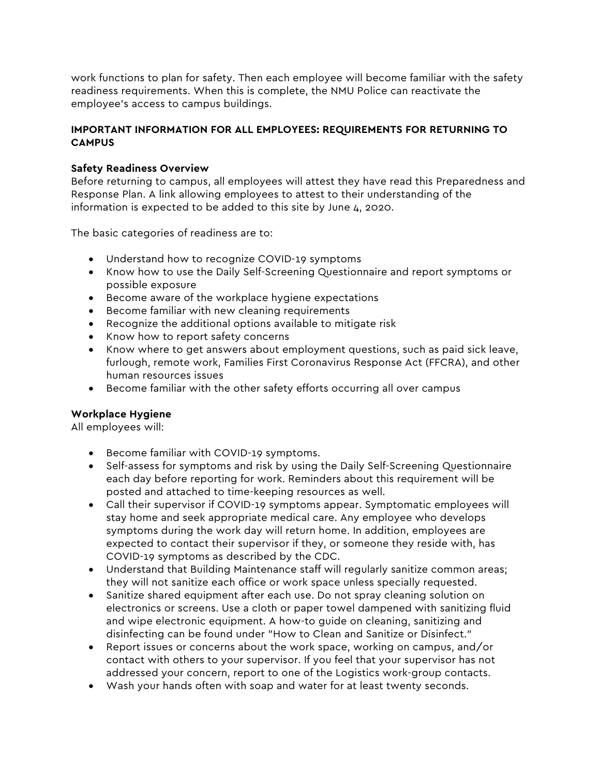work functions to plan for safety. Then each employee will become familiar with the safety readiness requirements. When this is complete, the NMU Police can reactivate the employee's access to campus buildings.

# **IMPORTANT INFORMATION FOR ALL EMPLOYEES: REQUIREMENTS FOR RETURNING TO CAMPUS**

# **Safety Readiness Overview**

Before returning to campus, all employees will attest they have read this Preparedness and Response Plan. A link allowing employees to attest to their understanding of the information is expected to be added to this site by June 4, 2020.

The basic categories of readiness are to:

- Understand how to recognize COVID-19 symptoms
- Know how to use the Daily Self-Screening Questionnaire and report symptoms or possible exposure
- Become aware of the workplace hygiene expectations
- Become familiar with new cleaning requirements
- Recognize the additional options available to mitigate risk
- Know how to report safety concerns
- Know where to get answers about employment questions, such as paid sick leave, furlough, remote work, Families First Coronavirus Response Act (FFCRA), and other human resources issues
- Become familiar with the other safety efforts occurring all over campus

# **Workplace Hygiene**

All employees will:

- Become familiar with COVID-19 symptoms.
- Self-assess for symptoms and risk by using the Daily Self-Screening Questionnaire each day before reporting for work. Reminders about this requirement will be posted and attached to time-keeping resources as well.
- Call their supervisor if COVID-19 symptoms appear. Symptomatic employees will stay home and seek appropriate medical care. Any employee who develops symptoms during the work day will return home. In addition, employees are expected to contact their supervisor if they, or someone they reside with, has COVID-19 symptoms as described by the CDC.
- Understand that Building Maintenance staff will regularly sanitize common areas; they will not sanitize each office or work space unless specially requested.
- Sanitize shared equipment after each use. Do not spray cleaning solution on electronics or screens. Use a cloth or paper towel dampened with sanitizing fluid and wipe electronic equipment. A how-to guide on cleaning, sanitizing and disinfecting can be found under "How to Clean and Sanitize or Disinfect."
- Report issues or concerns about the work space, working on campus, and/or contact with others to your supervisor. If you feel that your supervisor has not addressed your concern, report to one of the Logistics work-group contacts.
- Wash your hands often with soap and water for at least twenty seconds.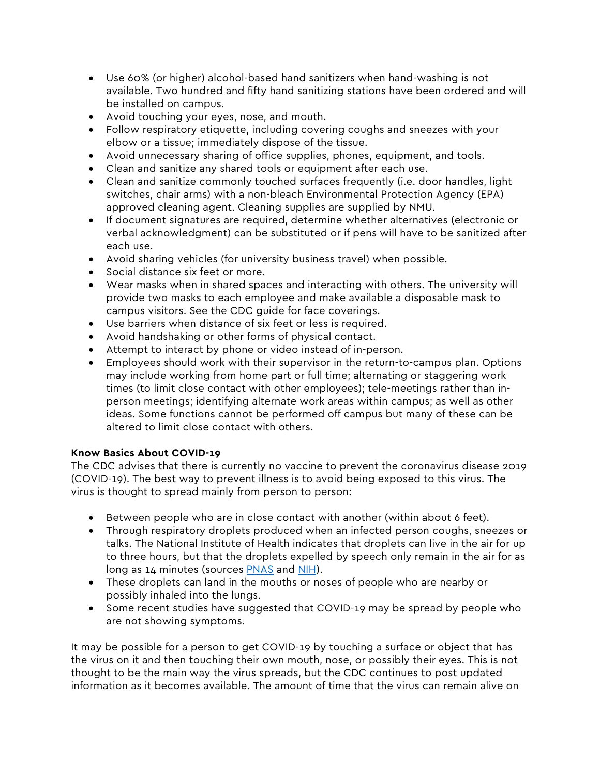- Use 60% (or higher) alcohol-based hand sanitizers when hand-washing is not available. Two hundred and fifty hand sanitizing stations have been ordered and will be installed on campus.
- Avoid touching your eyes, nose, and mouth.
- Follow respiratory etiquette, including covering coughs and sneezes with your elbow or a tissue; immediately dispose of the tissue.
- Avoid unnecessary sharing of office supplies, phones, equipment, and tools.
- Clean and sanitize any shared tools or equipment after each use.
- Clean and sanitize commonly touched surfaces frequently (i.e. door handles, light switches, chair arms) with a non-bleach Environmental Protection Agency (EPA) approved cleaning agent. Cleaning supplies are supplied by NMU.
- If document signatures are required, determine whether alternatives (electronic or verbal acknowledgment) can be substituted or if pens will have to be sanitized after each use.
- Avoid sharing vehicles (for university business travel) when possible.
- Social distance six feet or more.
- Wear masks when in shared spaces and interacting with others. The university will provide two masks to each employee and make available a disposable mask to campus visitors. See the CDC guide for face coverings.
- Use barriers when distance of six feet or less is required.
- Avoid handshaking or other forms of physical contact.
- Attempt to interact by phone or video instead of in-person.
- Employees should work with their supervisor in the return-to-campus plan. Options may include working from home part or full time; alternating or staggering work times (to limit close contact with other employees); tele-meetings rather than inperson meetings; identifying alternate work areas within campus; as well as other ideas. Some functions cannot be performed off campus but many of these can be altered to limit close contact with others.

# **Know Basics About COVID-19**

The CDC advises that there is currently no vaccine to prevent the coronavirus disease 2019 (COVID-19). The best way to prevent illness is to avoid being exposed to this virus. The virus is thought to spread mainly from person to person:

- Between people who are in close contact with another (within about 6 feet).
- Through respiratory droplets produced when an infected person coughs, sneezes or talks. The National Institute of Health indicates that droplets can live in the air for up to three hours, but that the droplets expelled by speech only remain in the air for as long as 14 minutes (sources PNAS and NIH).
- These droplets can land in the mouths or noses of people who are nearby or possibly inhaled into the lungs.
- Some recent studies have suggested that COVID-19 may be spread by people who are not showing symptoms.

It may be possible for a person to get COVID-19 by touching a surface or object that has the virus on it and then touching their own mouth, nose, or possibly their eyes. This is not thought to be the main way the virus spreads, but the CDC continues to post updated information as it becomes available. The amount of time that the virus can remain alive on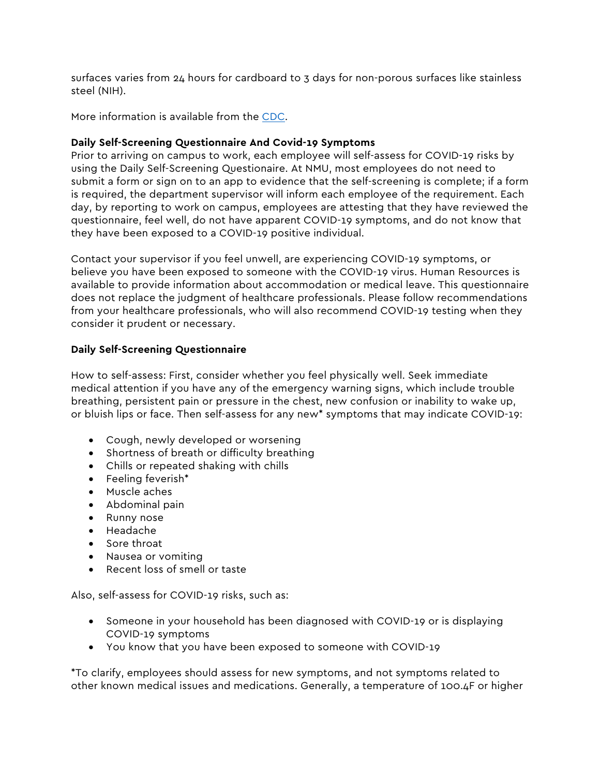surfaces varies from 24 hours for cardboard to 3 days for non-porous surfaces like stainless steel (NIH).

More information is available from the CDC.

# **Daily Self-Screening Questionnaire And Covid-19 Symptoms**

Prior to arriving on campus to work, each employee will self-assess for COVID-19 risks by using the Daily Self-Screening Questionaire. At NMU, most employees do not need to submit a form or sign on to an app to evidence that the self-screening is complete; if a form is required, the department supervisor will inform each employee of the requirement. Each day, by reporting to work on campus, employees are attesting that they have reviewed the questionnaire, feel well, do not have apparent COVID-19 symptoms, and do not know that they have been exposed to a COVID-19 positive individual.

Contact your supervisor if you feel unwell, are experiencing COVID-19 symptoms, or believe you have been exposed to someone with the COVID-19 virus. Human Resources is available to provide information about accommodation or medical leave. This questionnaire does not replace the judgment of healthcare professionals. Please follow recommendations from your healthcare professionals, who will also recommend COVID-19 testing when they consider it prudent or necessary.

# **Daily Self-Screening Questionnaire**

How to self-assess: First, consider whether you feel physically well. Seek immediate medical attention if you have any of the emergency warning signs, which include trouble breathing, persistent pain or pressure in the chest, new confusion or inability to wake up, or bluish lips or face. Then self-assess for any new\* symptoms that may indicate COVID-19:

- Cough, newly developed or worsening
- Shortness of breath or difficulty breathing
- Chills or repeated shaking with chills
- Feeling feverish\*
- Muscle aches
- Abdominal pain
- Runny nose
- Headache
- Sore throat
- Nausea or vomiting
- Recent loss of smell or taste

Also, self-assess for COVID-19 risks, such as:

- Someone in your household has been diagnosed with COVID-19 or is displaying COVID-19 symptoms
- You know that you have been exposed to someone with COVID-19

\*To clarify, employees should assess for new symptoms, and not symptoms related to other known medical issues and medications. Generally, a temperature of 100.4F or higher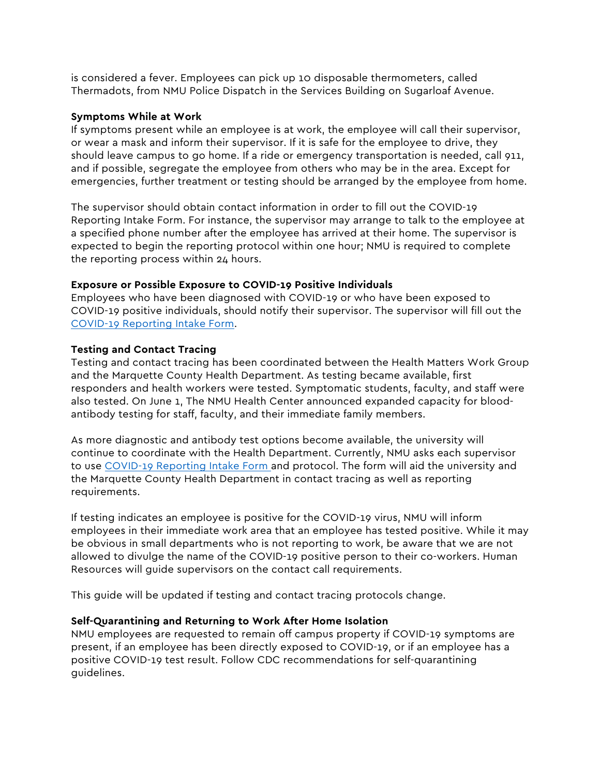is considered a fever. Employees can pick up 10 disposable thermometers, called Thermadots, from NMU Police Dispatch in the Services Building on Sugarloaf Avenue.

## **Symptoms While at Work**

If symptoms present while an employee is at work, the employee will call their supervisor, or wear a mask and inform their supervisor. If it is safe for the employee to drive, they should leave campus to go home. If a ride or emergency transportation is needed, call 911, and if possible, segregate the employee from others who may be in the area. Except for emergencies, further treatment or testing should be arranged by the employee from home.

The supervisor should obtain contact information in order to fill out the COVID-19 Reporting Intake Form. For instance, the supervisor may arrange to talk to the employee at a specified phone number after the employee has arrived at their home. The supervisor is expected to begin the reporting protocol within one hour; NMU is required to complete the reporting process within 24 hours.

# **Exposure or Possible Exposure to COVID-19 Positive Individuals**

Employees who have been diagnosed with COVID-19 or who have been exposed to COVID-19 positive individuals, should notify their supervisor. The supervisor will fill out the COVID-19 Reporting Intake Form.

# **Testing and Contact Tracing**

Testing and contact tracing has been coordinated between the Health Matters Work Group and the Marquette County Health Department. As testing became available, first responders and health workers were tested. Symptomatic students, faculty, and staff were also tested. On June 1, The NMU Health Center announced expanded capacity for bloodantibody testing for staff, faculty, and their immediate family members.

As more diagnostic and antibody test options become available, the university will continue to coordinate with the Health Department. Currently, NMU asks each supervisor to use COVID-19 Reporting Intake Form and protocol. The form will aid the university and the Marquette County Health Department in contact tracing as well as reporting requirements.

If testing indicates an employee is positive for the COVID-19 virus, NMU will inform employees in their immediate work area that an employee has tested positive. While it may be obvious in small departments who is not reporting to work, be aware that we are not allowed to divulge the name of the COVID-19 positive person to their co-workers. Human Resources will guide supervisors on the contact call requirements.

This guide will be updated if testing and contact tracing protocols change.

# **Self-Quarantining and Returning to Work After Home Isolation**

NMU employees are requested to remain off campus property if COVID-19 symptoms are present, if an employee has been directly exposed to COVID-19, or if an employee has a positive COVID-19 test result. Follow CDC recommendations for self-quarantining guidelines.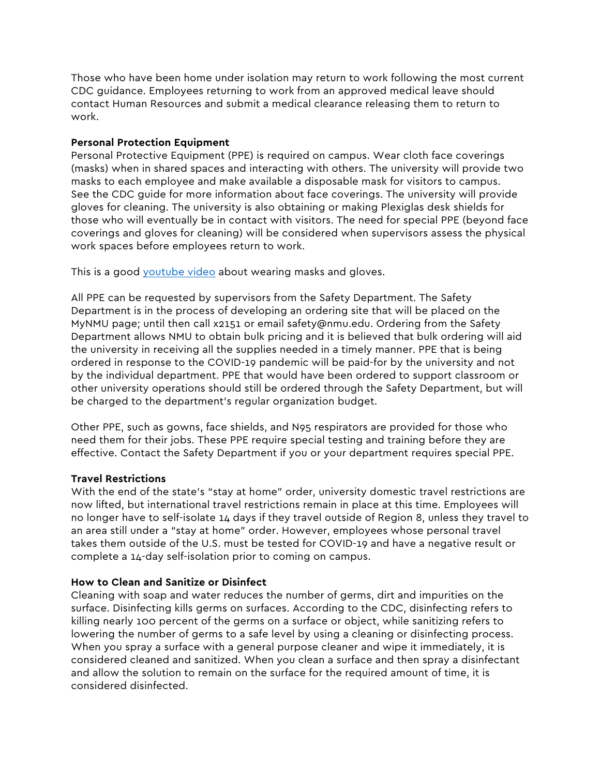Those who have been home under isolation may return to work following the most current CDC guidance. Employees returning to work from an approved medical leave should contact Human Resources and submit a medical clearance releasing them to return to work.

## **Personal Protection Equipment**

Personal Protective Equipment (PPE) is required on campus. Wear cloth face coverings (masks) when in shared spaces and interacting with others. The university will provide two masks to each employee and make available a disposable mask for visitors to campus. See the CDC guide for more information about face coverings. The university will provide gloves for cleaning. The university is also obtaining or making Plexiglas desk shields for those who will eventually be in contact with visitors. The need for special PPE (beyond face coverings and gloves for cleaning) will be considered when supervisors assess the physical work spaces before employees return to work.

This is a good youtube video about wearing masks and gloves.

All PPE can be requested by supervisors from the Safety Department. The Safety Department is in the process of developing an ordering site that will be placed on the MyNMU page; until then call x2151 or email safety@nmu.edu. Ordering from the Safety Department allows NMU to obtain bulk pricing and it is believed that bulk ordering will aid the university in receiving all the supplies needed in a timely manner. PPE that is being ordered in response to the COVID-19 pandemic will be paid-for by the university and not by the individual department. PPE that would have been ordered to support classroom or other university operations should still be ordered through the Safety Department, but will be charged to the department's regular organization budget.

Other PPE, such as gowns, face shields, and N95 respirators are provided for those who need them for their jobs. These PPE require special testing and training before they are effective. Contact the Safety Department if you or your department requires special PPE.

# **Travel Restrictions**

With the end of the state's "stay at home" order, university domestic travel restrictions are now lifted, but international travel restrictions remain in place at this time. Employees will no longer have to self-isolate 14 days if they travel outside of Region 8, unless they travel to an area still under a "stay at home" order. However, employees whose personal travel takes them outside of the U.S. must be tested for COVID-19 and have a negative result or complete a 14-day self-isolation prior to coming on campus.

# **How to Clean and Sanitize or Disinfect**

Cleaning with soap and water reduces the number of germs, dirt and impurities on the surface. Disinfecting kills germs on surfaces. According to the CDC, disinfecting refers to killing nearly 100 percent of the germs on a surface or object, while sanitizing refers to lowering the number of germs to a safe level by using a cleaning or disinfecting process. When you spray a surface with a general purpose cleaner and wipe it immediately, it is considered cleaned and sanitized. When you clean a surface and then spray a disinfectant and allow the solution to remain on the surface for the required amount of time, it is considered disinfected.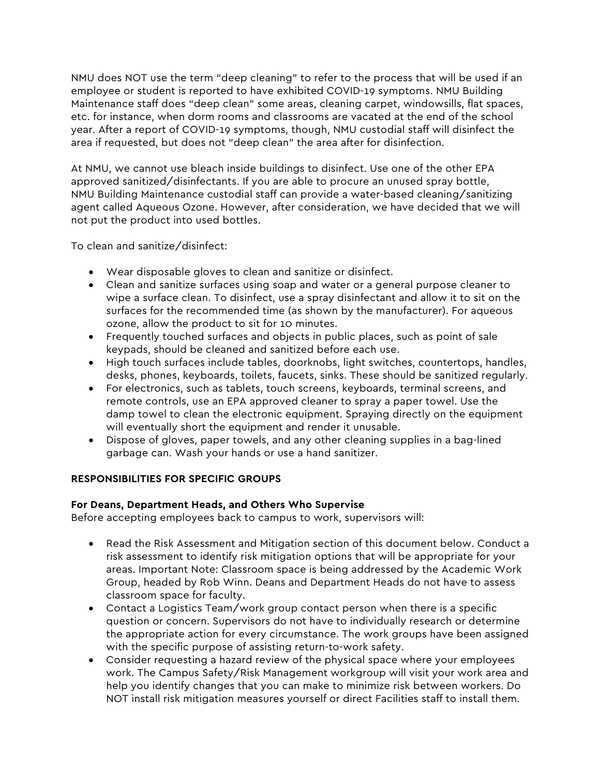NMU does NOT use the term "deep cleaning" to refer to the process that will be used if an employee or student is reported to have exhibited COVID-19 symptoms. NMU Building Maintenance staff does "deep clean" some areas, cleaning carpet, windowsills, flat spaces, etc. for instance, when dorm rooms and classrooms are vacated at the end of the school year. After a report of COVID-19 symptoms, though, NMU custodial staff will disinfect the area if requested, but does not "deep clean" the area after for disinfection.

At NMU, we cannot use bleach inside buildings to disinfect. Use one of the other EPA approved sanitized/disinfectants. If you are able to procure an unused spray bottle, NMU Building Maintenance custodial staff can provide a water-based cleaning/sanitizing agent called Aqueous Ozone. However, after consideration, we have decided that we will not put the product into used bottles.

To clean and sanitize/disinfect:

- Wear disposable gloves to clean and sanitize or disinfect.
- Clean and sanitize surfaces using soap and water or a general purpose cleaner to wipe a surface clean. To disinfect, use a spray disinfectant and allow it to sit on the surfaces for the recommended time (as shown by the manufacturer). For aqueous ozone, allow the product to sit for 10 minutes.
- Frequently touched surfaces and objects in public places, such as point of sale keypads, should be cleaned and sanitized before each use.
- High touch surfaces include tables, doorknobs, light switches, countertops, handles, desks, phones, keyboards, toilets, faucets, sinks. These should be sanitized regularly.
- For electronics, such as tablets, touch screens, keyboards, terminal screens, and remote controls, use an EPA approved cleaner to spray a paper towel. Use the damp towel to clean the electronic equipment. Spraying directly on the equipment will eventually short the equipment and render it unusable.
- Dispose of gloves, paper towels, and any other cleaning supplies in a bag-lined garbage can. Wash your hands or use a hand sanitizer.

# **RESPONSIBILITIES FOR SPECIFIC GROUPS**

# **For Deans, Department Heads, and Others Who Supervise**

Before accepting employees back to campus to work, supervisors will:

- Read the Risk Assessment and Mitigation section of this document below. Conduct a risk assessment to identify risk mitigation options that will be appropriate for your areas. Important Note: Classroom space is being addressed by the Academic Work Group, headed by Rob Winn. Deans and Department Heads do not have to assess classroom space for faculty.
- Contact a Logistics Team/work group contact person when there is a specific question or concern. Supervisors do not have to individually research or determine the appropriate action for every circumstance. The work groups have been assigned with the specific purpose of assisting return-to-work safety.
- Consider requesting a hazard review of the physical space where your employees work. The Campus Safety/Risk Management workgroup will visit your work area and help you identify changes that you can make to minimize risk between workers. Do NOT install risk mitigation measures yourself or direct Facilities staff to install them.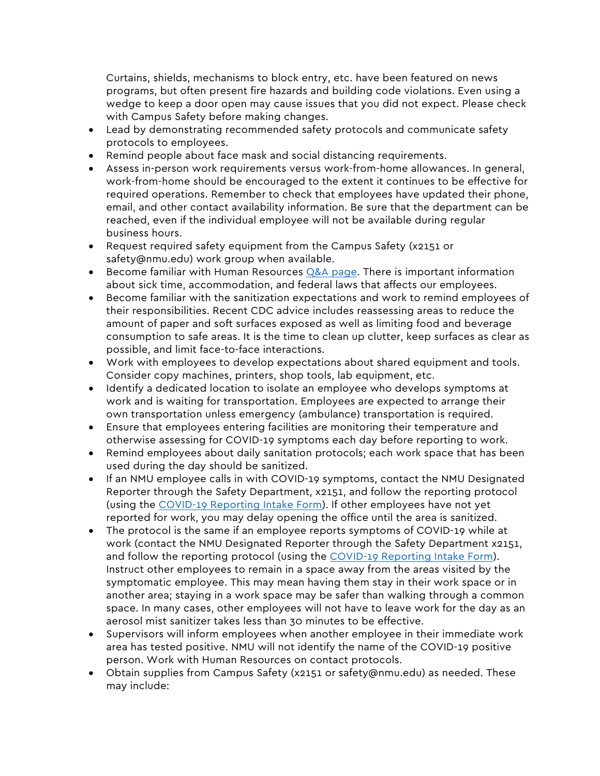Curtains, shields, mechanisms to block entry, etc. have been featured on news programs, but often present fire hazards and building code violations. Even using a wedge to keep a door open may cause issues that you did not expect. Please check with Campus Safety before making changes.

- Lead by demonstrating recommended safety protocols and communicate safety protocols to employees.
- Remind people about face mask and social distancing requirements.
- Assess in-person work requirements versus work-from-home allowances. In general, work-from-home should be encouraged to the extent it continues to be effective for required operations. Remember to check that employees have updated their phone, email, and other contact availability information. Be sure that the department can be reached, even if the individual employee will not be available during regular business hours.
- Request required safety equipment from the Campus Safety (x2151 or safety@nmu.edu) work group when available.
- Become familiar with Human Resources  $Q&A$  page. There is important information about sick time, accommodation, and federal laws that affects our employees.
- Become familiar with the sanitization expectations and work to remind employees of their responsibilities. Recent CDC advice includes reassessing areas to reduce the amount of paper and soft surfaces exposed as well as limiting food and beverage consumption to safe areas. It is the time to clean up clutter, keep surfaces as clear as possible, and limit face-to-face interactions.
- Work with employees to develop expectations about shared equipment and tools. Consider copy machines, printers, shop tools, lab equipment, etc.
- Identify a dedicated location to isolate an employee who develops symptoms at work and is waiting for transportation. Employees are expected to arrange their own transportation unless emergency (ambulance) transportation is required.
- Ensure that employees entering facilities are monitoring their temperature and otherwise assessing for COVID-19 symptoms each day before reporting to work.
- Remind employees about daily sanitation protocols; each work space that has been used during the day should be sanitized.
- If an NMU employee calls in with COVID-19 symptoms, contact the NMU Designated Reporter through the Safety Department, x2151, and follow the reporting protocol (using the COVID-19 Reporting Intake Form). If other employees have not yet reported for work, you may delay opening the office until the area is sanitized.
- The protocol is the same if an employee reports symptoms of COVID-19 while at work (contact the NMU Designated Reporter through the Safety Department x2151, and follow the reporting protocol (using the COVID-19 Reporting Intake Form). Instruct other employees to remain in a space away from the areas visited by the symptomatic employee. This may mean having them stay in their work space or in another area; staying in a work space may be safer than walking through a common space. In many cases, other employees will not have to leave work for the day as an aerosol mist sanitizer takes less than 30 minutes to be effective.
- Supervisors will inform employees when another employee in their immediate work area has tested positive. NMU will not identify the name of the COVID-19 positive person. Work with Human Resources on contact protocols.
- Obtain supplies from Campus Safety (x2151 or safety@nmu.edu) as needed. These may include: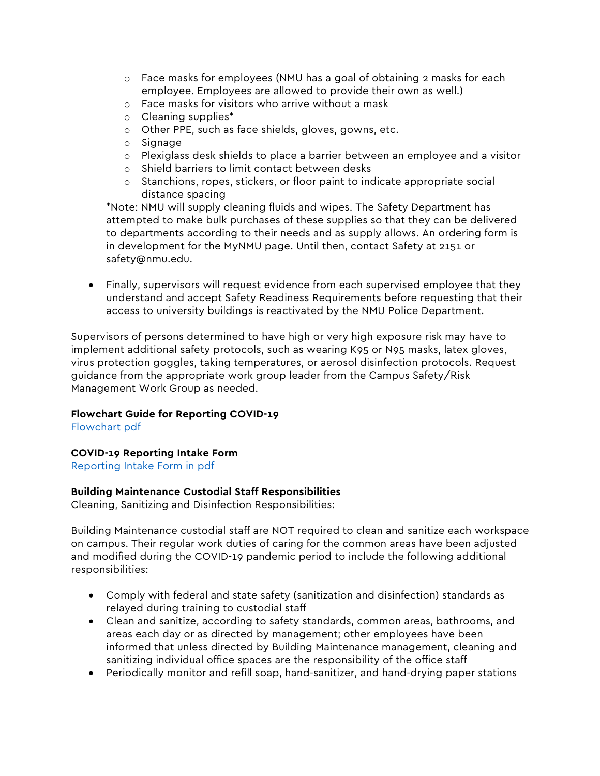- o Face masks for employees (NMU has a goal of obtaining 2 masks for each employee. Employees are allowed to provide their own as well.)
- o Face masks for visitors who arrive without a mask
- o Cleaning supplies\*
- o Other PPE, such as face shields, gloves, gowns, etc.
- o Signage
- o Plexiglass desk shields to place a barrier between an employee and a visitor
- o Shield barriers to limit contact between desks
- o Stanchions, ropes, stickers, or floor paint to indicate appropriate social distance spacing

\*Note: NMU will supply cleaning fluids and wipes. The Safety Department has attempted to make bulk purchases of these supplies so that they can be delivered to departments according to their needs and as supply allows. An ordering form is in development for the MyNMU page. Until then, contact Safety at 2151 or safety@nmu.edu.

• Finally, supervisors will request evidence from each supervised employee that they understand and accept Safety Readiness Requirements before requesting that their access to university buildings is reactivated by the NMU Police Department.

Supervisors of persons determined to have high or very high exposure risk may have to implement additional safety protocols, such as wearing K95 or N95 masks, latex gloves, virus protection goggles, taking temperatures, or aerosol disinfection protocols. Request guidance from the appropriate work group leader from the Campus Safety/Risk Management Work Group as needed.

## **Flowchart Guide for Reporting COVID-19**

Flowchart pdf

## **COVID-19 Reporting Intake Form**

Reporting Intake Form in pdf

## **Building Maintenance Custodial Staff Responsibilities**

Cleaning, Sanitizing and Disinfection Responsibilities:

Building Maintenance custodial staff are NOT required to clean and sanitize each workspace on campus. Their regular work duties of caring for the common areas have been adjusted and modified during the COVID-19 pandemic period to include the following additional responsibilities:

- Comply with federal and state safety (sanitization and disinfection) standards as relayed during training to custodial staff
- Clean and sanitize, according to safety standards, common areas, bathrooms, and areas each day or as directed by management; other employees have been informed that unless directed by Building Maintenance management, cleaning and sanitizing individual office spaces are the responsibility of the office staff
- Periodically monitor and refill soap, hand-sanitizer, and hand-drying paper stations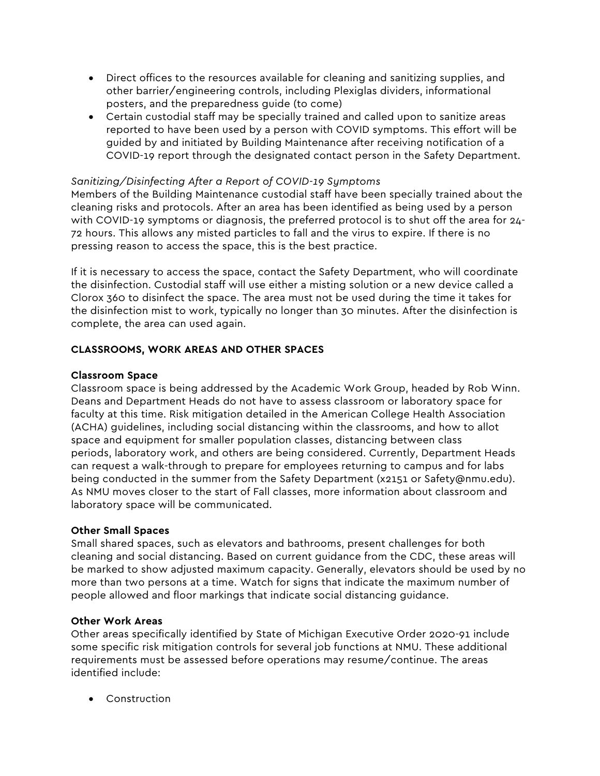- Direct offices to the resources available for cleaning and sanitizing supplies, and other barrier/engineering controls, including Plexiglas dividers, informational posters, and the preparedness guide (to come)
- Certain custodial staff may be specially trained and called upon to sanitize areas reported to have been used by a person with COVID symptoms. This effort will be guided by and initiated by Building Maintenance after receiving notification of a COVID-19 report through the designated contact person in the Safety Department.

# *Sanitizing/Disinfecting After a Report of COVID-19 Symptoms*

Members of the Building Maintenance custodial staff have been specially trained about the cleaning risks and protocols. After an area has been identified as being used by a person with COVID-19 symptoms or diagnosis, the preferred protocol is to shut off the area for 24- 72 hours. This allows any misted particles to fall and the virus to expire. If there is no pressing reason to access the space, this is the best practice.

If it is necessary to access the space, contact the Safety Department, who will coordinate the disinfection. Custodial staff will use either a misting solution or a new device called a Clorox 360 to disinfect the space. The area must not be used during the time it takes for the disinfection mist to work, typically no longer than 30 minutes. After the disinfection is complete, the area can used again.

# **CLASSROOMS, WORK AREAS AND OTHER SPACES**

## **Classroom Space**

Classroom space is being addressed by the Academic Work Group, headed by Rob Winn. Deans and Department Heads do not have to assess classroom or laboratory space for faculty at this time. Risk mitigation detailed in the American College Health Association (ACHA) guidelines, including social distancing within the classrooms, and how to allot space and equipment for smaller population classes, distancing between class periods, laboratory work, and others are being considered. Currently, Department Heads can request a walk-through to prepare for employees returning to campus and for labs being conducted in the summer from the Safety Department (x2151 or Safety@nmu.edu). As NMU moves closer to the start of Fall classes, more information about classroom and laboratory space will be communicated.

# **Other Small Spaces**

Small shared spaces, such as elevators and bathrooms, present challenges for both cleaning and social distancing. Based on current guidance from the CDC, these areas will be marked to show adjusted maximum capacity. Generally, elevators should be used by no more than two persons at a time. Watch for signs that indicate the maximum number of people allowed and floor markings that indicate social distancing guidance.

# **Other Work Areas**

Other areas specifically identified by State of Michigan Executive Order 2020-91 include some specific risk mitigation controls for several job functions at NMU. These additional requirements must be assessed before operations may resume/continue. The areas identified include:

• Construction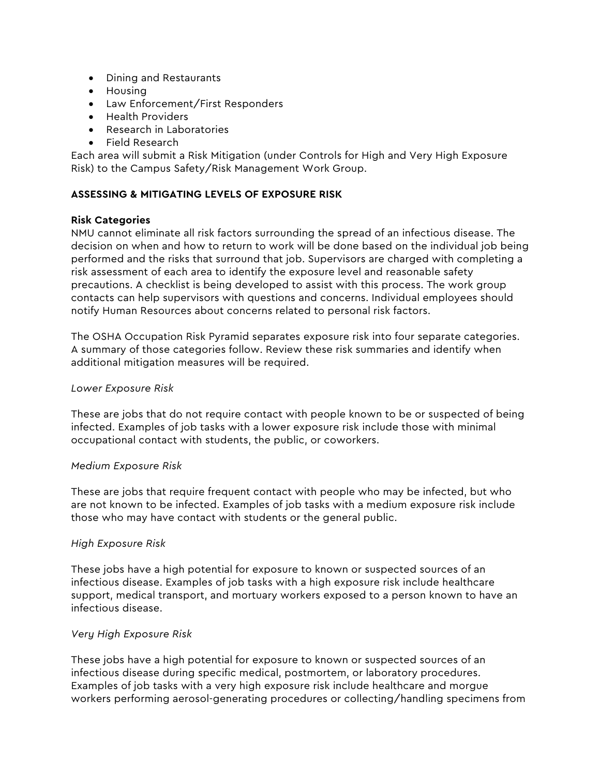- Dining and Restaurants
- Housing
- Law Enforcement/First Responders
- Health Providers
- Research in Laboratories
- Field Research

Each area will submit a Risk Mitigation (under Controls for High and Very High Exposure Risk) to the Campus Safety/Risk Management Work Group.

## **ASSESSING & MITIGATING LEVELS OF EXPOSURE RISK**

## **Risk Categories**

NMU cannot eliminate all risk factors surrounding the spread of an infectious disease. The decision on when and how to return to work will be done based on the individual job being performed and the risks that surround that job. Supervisors are charged with completing a risk assessment of each area to identify the exposure level and reasonable safety precautions. A checklist is being developed to assist with this process. The work group contacts can help supervisors with questions and concerns. Individual employees should notify Human Resources about concerns related to personal risk factors.

The OSHA Occupation Risk Pyramid separates exposure risk into four separate categories. A summary of those categories follow. Review these risk summaries and identify when additional mitigation measures will be required.

#### *Lower Exposure Risk*

These are jobs that do not require contact with people known to be or suspected of being infected. Examples of job tasks with a lower exposure risk include those with minimal occupational contact with students, the public, or coworkers.

## *Medium Exposure Risk*

These are jobs that require frequent contact with people who may be infected, but who are not known to be infected. Examples of job tasks with a medium exposure risk include those who may have contact with students or the general public.

## *High Exposure Risk*

These jobs have a high potential for exposure to known or suspected sources of an infectious disease. Examples of job tasks with a high exposure risk include healthcare support, medical transport, and mortuary workers exposed to a person known to have an infectious disease.

## *Very High Exposure Risk*

These jobs have a high potential for exposure to known or suspected sources of an infectious disease during specific medical, postmortem, or laboratory procedures. Examples of job tasks with a very high exposure risk include healthcare and morgue workers performing aerosol-generating procedures or collecting/handling specimens from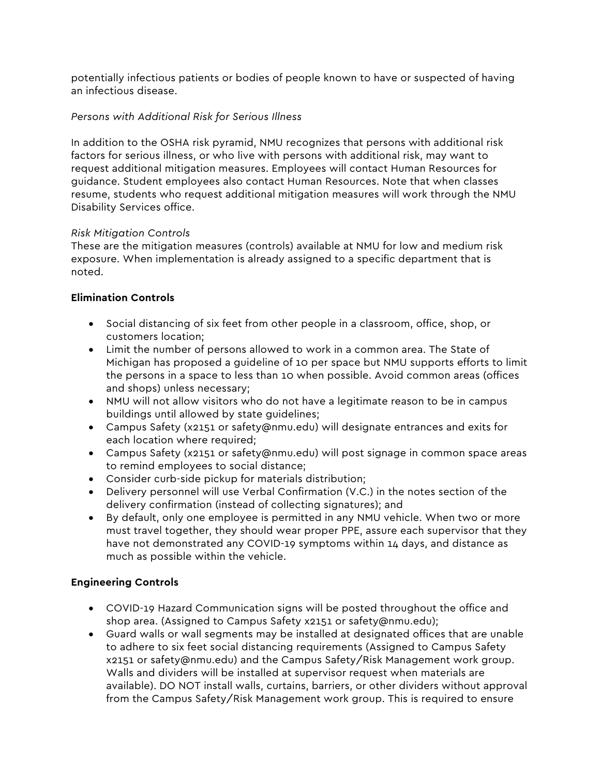potentially infectious patients or bodies of people known to have or suspected of having an infectious disease.

# *Persons with Additional Risk for Serious Illness*

In addition to the OSHA risk pyramid, NMU recognizes that persons with additional risk factors for serious illness, or who live with persons with additional risk, may want to request additional mitigation measures. Employees will contact Human Resources for guidance. Student employees also contact Human Resources. Note that when classes resume, students who request additional mitigation measures will work through the NMU Disability Services office.

# *Risk Mitigation Controls*

These are the mitigation measures (controls) available at NMU for low and medium risk exposure. When implementation is already assigned to a specific department that is noted.

# **Elimination Controls**

- Social distancing of six feet from other people in a classroom, office, shop, or customers location;
- Limit the number of persons allowed to work in a common area. The State of Michigan has proposed a guideline of 10 per space but NMU supports efforts to limit the persons in a space to less than 10 when possible. Avoid common areas (offices and shops) unless necessary;
- NMU will not allow visitors who do not have a legitimate reason to be in campus buildings until allowed by state guidelines;
- Campus Safety (x2151 or safety@nmu.edu) will designate entrances and exits for each location where required;
- Campus Safety (x2151 or safety@nmu.edu) will post signage in common space areas to remind employees to social distance;
- Consider curb-side pickup for materials distribution;
- Delivery personnel will use Verbal Confirmation (V.C.) in the notes section of the delivery confirmation (instead of collecting signatures); and
- By default, only one employee is permitted in any NMU vehicle. When two or more must travel together, they should wear proper PPE, assure each supervisor that they have not demonstrated any COVID-19 symptoms within 14 days, and distance as much as possible within the vehicle.

# **Engineering Controls**

- COVID-19 Hazard Communication signs will be posted throughout the office and shop area. (Assigned to Campus Safety x2151 or safety@nmu.edu);
- Guard walls or wall segments may be installed at designated offices that are unable to adhere to six feet social distancing requirements (Assigned to Campus Safety x2151 or safety@nmu.edu) and the Campus Safety/Risk Management work group. Walls and dividers will be installed at supervisor request when materials are available). DO NOT install walls, curtains, barriers, or other dividers without approval from the Campus Safety/Risk Management work group. This is required to ensure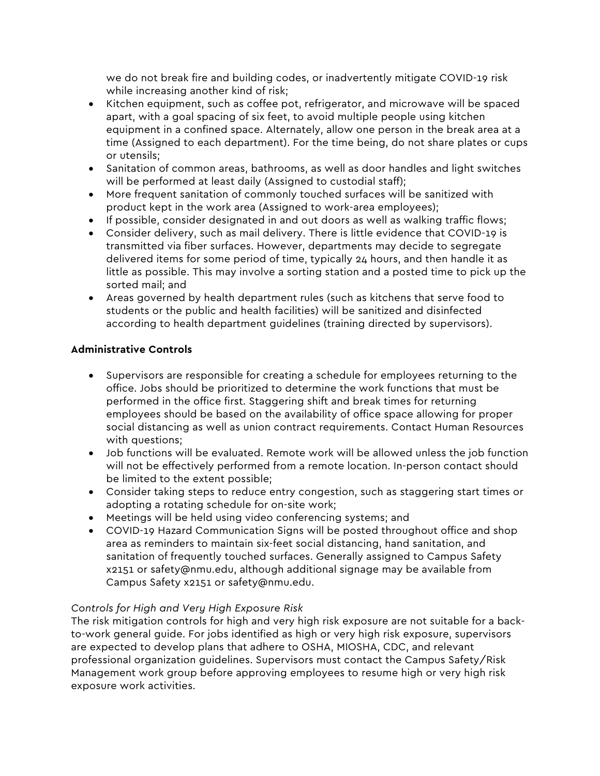we do not break fire and building codes, or inadvertently mitigate COVID-19 risk while increasing another kind of risk;

- Kitchen equipment, such as coffee pot, refrigerator, and microwave will be spaced apart, with a goal spacing of six feet, to avoid multiple people using kitchen equipment in a confined space. Alternately, allow one person in the break area at a time (Assigned to each department). For the time being, do not share plates or cups or utensils;
- Sanitation of common areas, bathrooms, as well as door handles and light switches will be performed at least daily (Assigned to custodial staff);
- More frequent sanitation of commonly touched surfaces will be sanitized with product kept in the work area (Assigned to work-area employees);
- If possible, consider designated in and out doors as well as walking traffic flows;
- Consider delivery, such as mail delivery. There is little evidence that COVID-19 is transmitted via fiber surfaces. However, departments may decide to segregate delivered items for some period of time, typically 24 hours, and then handle it as little as possible. This may involve a sorting station and a posted time to pick up the sorted mail; and
- Areas governed by health department rules (such as kitchens that serve food to students or the public and health facilities) will be sanitized and disinfected according to health department guidelines (training directed by supervisors).

# **Administrative Controls**

- Supervisors are responsible for creating a schedule for employees returning to the office. Jobs should be prioritized to determine the work functions that must be performed in the office first. Staggering shift and break times for returning employees should be based on the availability of office space allowing for proper social distancing as well as union contract requirements. Contact Human Resources with questions;
- Job functions will be evaluated. Remote work will be allowed unless the job function will not be effectively performed from a remote location. In-person contact should be limited to the extent possible;
- Consider taking steps to reduce entry congestion, such as staggering start times or adopting a rotating schedule for on-site work;
- Meetings will be held using video conferencing systems; and
- COVID-19 Hazard Communication Signs will be posted throughout office and shop area as reminders to maintain six-feet social distancing, hand sanitation, and sanitation of frequently touched surfaces. Generally assigned to Campus Safety x2151 or safety@nmu.edu, although additional signage may be available from Campus Safety x2151 or safety@nmu.edu.

# *Controls for High and Very High Exposure Risk*

The risk mitigation controls for high and very high risk exposure are not suitable for a backto-work general guide. For jobs identified as high or very high risk exposure, supervisors are expected to develop plans that adhere to OSHA, MIOSHA, CDC, and relevant professional organization guidelines. Supervisors must contact the Campus Safety/Risk Management work group before approving employees to resume high or very high risk exposure work activities.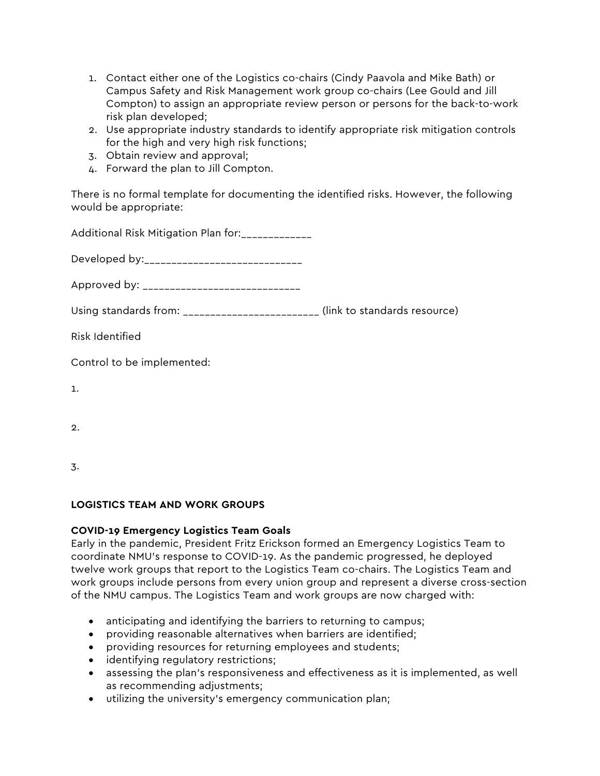- 1. Contact either one of the Logistics co-chairs (Cindy Paavola and Mike Bath) or Campus Safety and Risk Management work group co-chairs (Lee Gould and Jill Compton) to assign an appropriate review person or persons for the back-to-work risk plan developed;
- 2. Use appropriate industry standards to identify appropriate risk mitigation controls for the high and very high risk functions;
- 3. Obtain review and approval;
- 4. Forward the plan to Jill Compton.

There is no formal template for documenting the identified risks. However, the following would be appropriate:

| Using standards from: ________________________ (link to standards resource) |
|-----------------------------------------------------------------------------|
|                                                                             |
|                                                                             |
|                                                                             |
|                                                                             |
|                                                                             |

3.

# **LOGISTICS TEAM AND WORK GROUPS**

# **COVID-19 Emergency Logistics Team Goals**

Early in the pandemic, President Fritz Erickson formed an Emergency Logistics Team to coordinate NMU's response to COVID-19. As the pandemic progressed, he deployed twelve work groups that report to the Logistics Team co-chairs. The Logistics Team and work groups include persons from every union group and represent a diverse cross-section of the NMU campus. The Logistics Team and work groups are now charged with:

- anticipating and identifying the barriers to returning to campus;
- providing reasonable alternatives when barriers are identified;
- providing resources for returning employees and students;
- identifying regulatory restrictions;
- assessing the plan's responsiveness and effectiveness as it is implemented, as well as recommending adjustments;
- utilizing the university's emergency communication plan;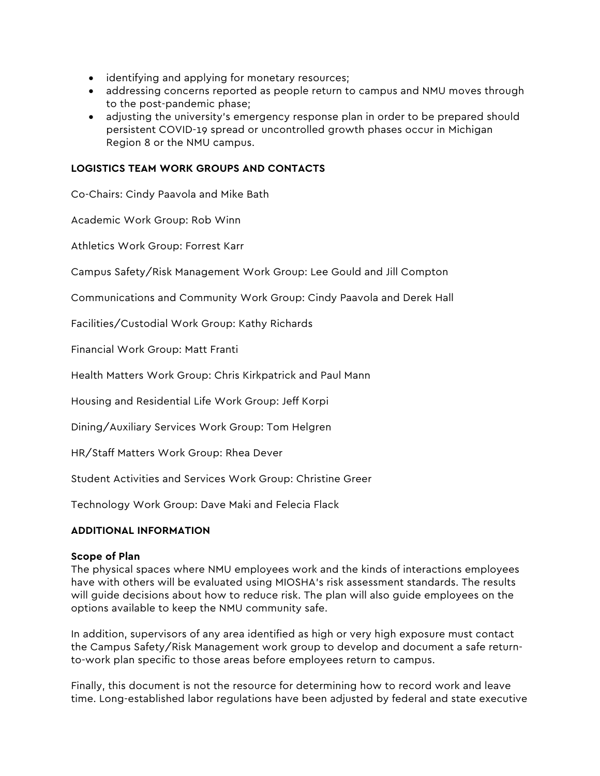- identifying and applying for monetary resources;
- addressing concerns reported as people return to campus and NMU moves through to the post-pandemic phase;
- adjusting the university's emergency response plan in order to be prepared should persistent COVID-19 spread or uncontrolled growth phases occur in Michigan Region 8 or the NMU campus.

## **LOGISTICS TEAM WORK GROUPS AND CONTACTS**

Co-Chairs: Cindy Paavola and Mike Bath

Academic Work Group: Rob Winn

Athletics Work Group: Forrest Karr

Campus Safety/Risk Management Work Group: Lee Gould and Jill Compton

Communications and Community Work Group: Cindy Paavola and Derek Hall

Facilities/Custodial Work Group: Kathy Richards

Financial Work Group: Matt Franti

Health Matters Work Group: Chris Kirkpatrick and Paul Mann

Housing and Residential Life Work Group: Jeff Korpi

Dining/Auxiliary Services Work Group: Tom Helgren

HR/Staff Matters Work Group: Rhea Dever

Student Activities and Services Work Group: Christine Greer

Technology Work Group: Dave Maki and Felecia Flack

## **ADDITIONAL INFORMATION**

## **Scope of Plan**

The physical spaces where NMU employees work and the kinds of interactions employees have with others will be evaluated using MIOSHA's risk assessment standards. The results will guide decisions about how to reduce risk. The plan will also guide employees on the options available to keep the NMU community safe.

In addition, supervisors of any area identified as high or very high exposure must contact the Campus Safety/Risk Management work group to develop and document a safe returnto-work plan specific to those areas before employees return to campus.

Finally, this document is not the resource for determining how to record work and leave time. Long-established labor regulations have been adjusted by federal and state executive